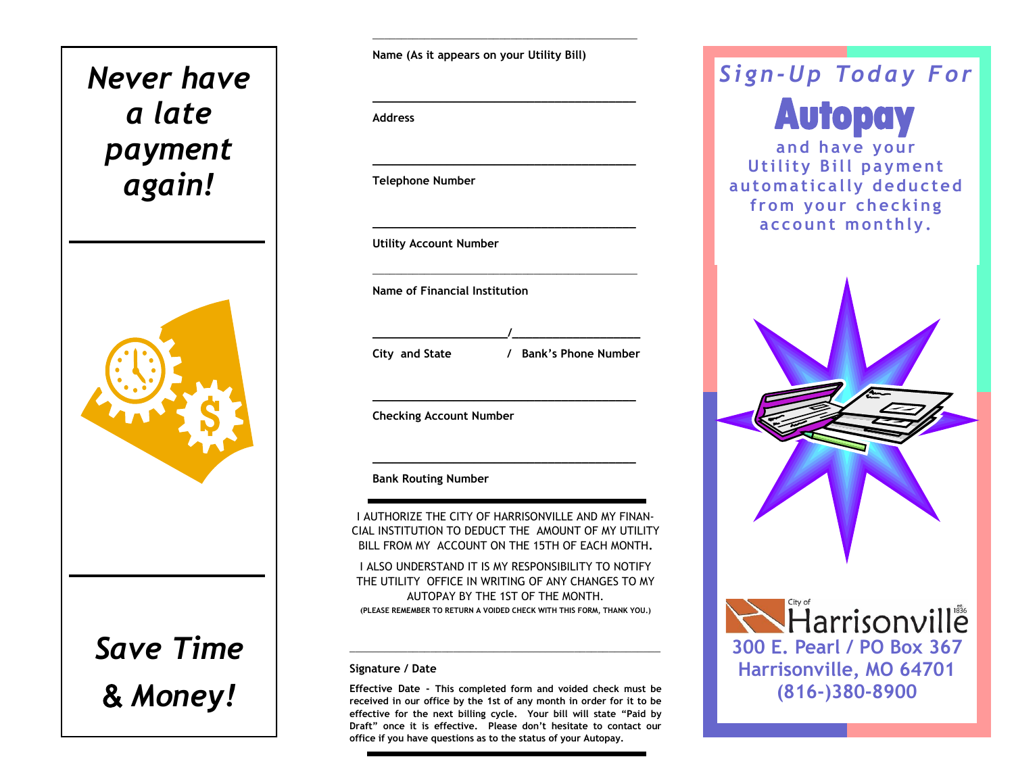## *Never have a late payment again!*



*Save Time* & *Money!*

**Name (As it appears on your Utility Bill)**

**\_\_\_\_\_\_\_\_\_\_\_\_\_\_\_\_\_\_\_\_\_\_\_\_\_\_\_\_\_\_\_\_\_\_\_\_\_\_\_\_\_\_\_\_\_\_**

**\_\_\_\_\_\_\_\_\_\_\_\_\_\_\_\_\_\_\_\_\_\_\_\_\_\_\_\_\_\_\_\_\_\_\_\_\_\_\_**

**\_\_\_\_\_\_\_\_\_\_\_\_\_\_\_\_\_\_\_\_\_\_\_\_\_\_\_\_\_\_\_\_\_\_\_\_\_\_\_**

**\_\_\_\_\_\_\_\_\_\_\_\_\_\_\_\_\_\_\_\_\_\_\_\_\_\_\_\_\_\_\_\_\_\_\_\_\_\_\_**

**\_\_\_\_\_\_\_\_\_\_\_\_\_\_\_\_\_\_\_\_\_\_\_\_\_\_\_\_\_\_\_\_\_\_\_\_\_\_\_\_\_\_\_\_\_\_**

**\_\_\_\_\_\_\_\_\_\_\_\_\_\_\_\_\_\_\_\_/\_\_\_\_\_\_\_\_\_\_\_\_\_\_\_\_\_\_\_**

**\_\_\_\_\_\_\_\_\_\_\_\_\_\_\_\_\_\_\_\_\_\_\_\_\_\_\_\_\_\_\_\_\_\_\_\_\_\_\_**

**\_\_\_\_\_\_\_\_\_\_\_\_\_\_\_\_\_\_\_\_\_\_\_\_\_\_\_\_\_\_\_\_\_\_\_\_\_\_\_**

**Address**

**Telephone Number**

**Utility Account Number** 

**Name of Financial Institution**

**City and State / Bank's Phone Number**

**Checking Account Number**

**Bank Routing Number**

I AUTHORIZE THE CITY OF HARRISONVILLE AND MY FINAN-CIAL INSTITUTION TO DEDUCT THE AMOUNT OF MY UTILITY BILL FROM MY ACCOUNT ON THE 15TH OF EACH MONTH**.** 

I ALSO UNDERSTAND IT IS MY RESPONSIBILITY TO NOTIFY THE UTILITY OFFICE IN WRITING OF ANY CHANGES TO MY AUTOPAY BY THE 1ST OF THE MONTH. **(PLEASE REMEMBER TO RETURN A VOIDED CHECK WITH THIS FORM, THANK YOU.)**

**\_\_\_\_\_\_\_\_\_\_\_\_\_\_\_\_\_\_\_\_\_\_\_\_\_\_\_\_\_\_\_\_\_\_\_\_\_\_\_\_\_\_\_\_\_\_\_\_\_\_\_\_\_\_**

## **Signature / Date**

**Effective Date - This completed form and voided check must be received in our office by the 1st of any month in order for it to be effective for the next billing cycle. Your bill will state "Paid by Draft" once it is effective. Please don't hesitate to contact our office if you have questions as to the status of your Autopay.**